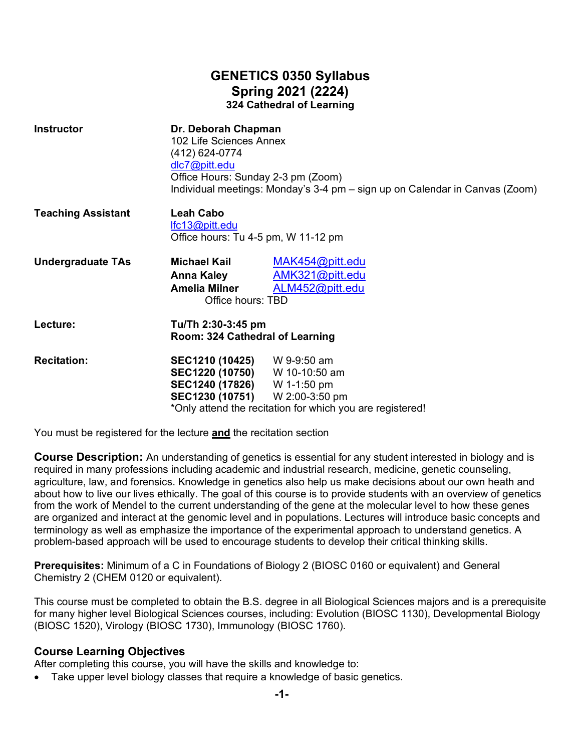# **GENETICS 0350 Syllabus Spring 2021 (2224) 324 Cathedral of Learning**

| <b>Instructor</b>         | Dr. Deborah Chapman<br>102 Life Sciences Annex<br>(412) 624-0774<br>dlc7@pitt.edu<br>Office Hours: Sunday 2-3 pm (Zoom)       | Individual meetings: Monday's 3-4 pm - sign up on Calendar in Canvas (Zoom) |  |
|---------------------------|-------------------------------------------------------------------------------------------------------------------------------|-----------------------------------------------------------------------------|--|
| <b>Teaching Assistant</b> | <b>Leah Cabo</b><br>lfc13@pitt.edu<br>Office hours: Tu 4-5 pm, W 11-12 pm                                                     |                                                                             |  |
| <b>Undergraduate TAs</b>  | <b>Michael Kail</b><br>Anna Kaley<br><b>Amelia Milner</b><br>Office hours: TBD                                                | MAK454@pitt.edu<br>AMK321@pitt.edu<br>ALM452@pitt.edu                       |  |
| Lecture:                  | Tu/Th 2:30-3:45 pm<br>Room: 324 Cathedral of Learning                                                                         |                                                                             |  |
| <b>Recitation:</b>        | SEC1210 (10425) W 9-9:50 am<br>SEC1220 (10750) W 10-10:50 am<br>SEC1240 (17826) W 1-1:50 pm<br>SEC1230 (10751) W 2:00-3:50 pm | *Only attend the recitation for which you are registered!                   |  |

You must be registered for the lecture **and** the recitation section

**Course Description:** An understanding of genetics is essential for any student interested in biology and is required in many professions including academic and industrial research, medicine, genetic counseling, agriculture, law, and forensics. Knowledge in genetics also help us make decisions about our own heath and about how to live our lives ethically. The goal of this course is to provide students with an overview of genetics from the work of Mendel to the current understanding of the gene at the molecular level to how these genes are organized and interact at the genomic level and in populations. Lectures will introduce basic concepts and terminology as well as emphasize the importance of the experimental approach to understand genetics. A problem-based approach will be used to encourage students to develop their critical thinking skills.

**Prerequisites:** Minimum of a C in Foundations of Biology 2 (BIOSC 0160 or equivalent) and General Chemistry 2 (CHEM 0120 or equivalent).

This course must be completed to obtain the B.S. degree in all Biological Sciences majors and is a prerequisite for many higher level Biological Sciences courses, including: Evolution (BIOSC 1130), Developmental Biology (BIOSC 1520), Virology (BIOSC 1730), Immunology (BIOSC 1760).

## **Course Learning Objectives**

After completing this course, you will have the skills and knowledge to:

Take upper level biology classes that require a knowledge of basic genetics.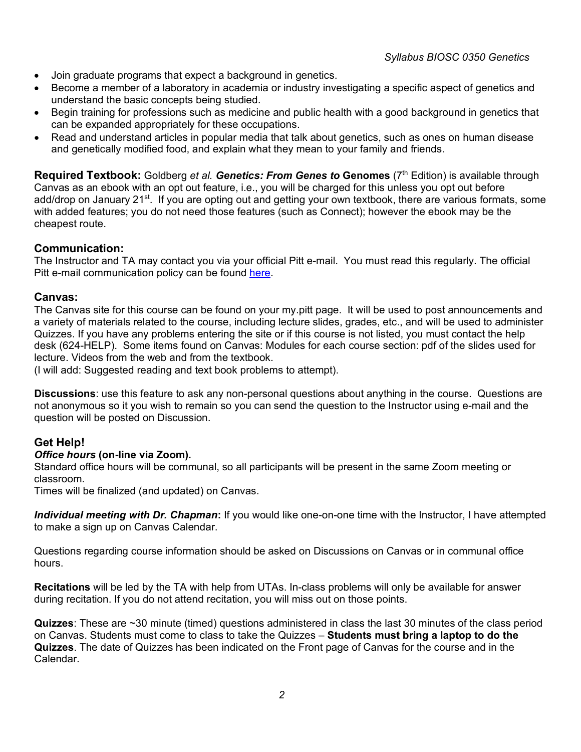- Join graduate programs that expect a background in genetics.
- Become a member of a laboratory in academia or industry investigating a specific aspect of genetics and understand the basic concepts being studied.
- Begin training for professions such as medicine and public health with a good background in genetics that can be expanded appropriately for these occupations.
- Read and understand articles in popular media that talk about genetics, such as ones on human disease and genetically modified food, and explain what they mean to your family and friends.

**Required Textbook:** Goldberg *et al. Genetics: From Genes to* **Genomes** (7th Edition) is available through Canvas as an ebook with an opt out feature, i.e., you will be charged for this unless you opt out before add/drop on January 21<sup>st</sup>. If you are opting out and getting your own textbook, there are various formats, some with added features; you do not need those features (such as Connect); however the ebook may be the cheapest route.

## **Communication:**

The Instructor and TA may contact you via your official Pitt e-mail. You must read this regularly. The official Pitt e-mail communication policy can be found [here.](https://www.as.pitt.edu/e-mail-communication-statement-syllabi#:%7E:text=Each%20student%20is%20issued%20a,pitt.edu)%20upon%20admittance.&text=If%20e%2Dmail%20is%20lost,their%20University%20e%2Dmail%20address.)

#### **Canvas:**

The Canvas site for this course can be found on your my.pitt page. It will be used to post announcements and a variety of materials related to the course, including lecture slides, grades, etc., and will be used to administer Quizzes. If you have any problems entering the site or if this course is not listed, you must contact the help desk (624-HELP). Some items found on Canvas: Modules for each course section: pdf of the slides used for lecture. Videos from the web and from the textbook.

(I will add: Suggested reading and text book problems to attempt).

**Discussions**: use this feature to ask any non-personal questions about anything in the course. Questions are not anonymous so it you wish to remain so you can send the question to the Instructor using e-mail and the question will be posted on Discussion.

## **Get Help!**

#### *Office hours* **(on-line via Zoom).**

Standard office hours will be communal, so all participants will be present in the same Zoom meeting or classroom.

Times will be finalized (and updated) on Canvas.

*Individual meeting with Dr. Chapman***:** If you would like one-on-one time with the Instructor, I have attempted to make a sign up on Canvas Calendar.

Questions regarding course information should be asked on Discussions on Canvas or in communal office hours.

**Recitations** will be led by the TA with help from UTAs. In-class problems will only be available for answer during recitation. If you do not attend recitation, you will miss out on those points.

**Quizzes**: These are ~30 minute (timed) questions administered in class the last 30 minutes of the class period on Canvas. Students must come to class to take the Quizzes – **Students must bring a laptop to do the Quizzes**. The date of Quizzes has been indicated on the Front page of Canvas for the course and in the Calendar.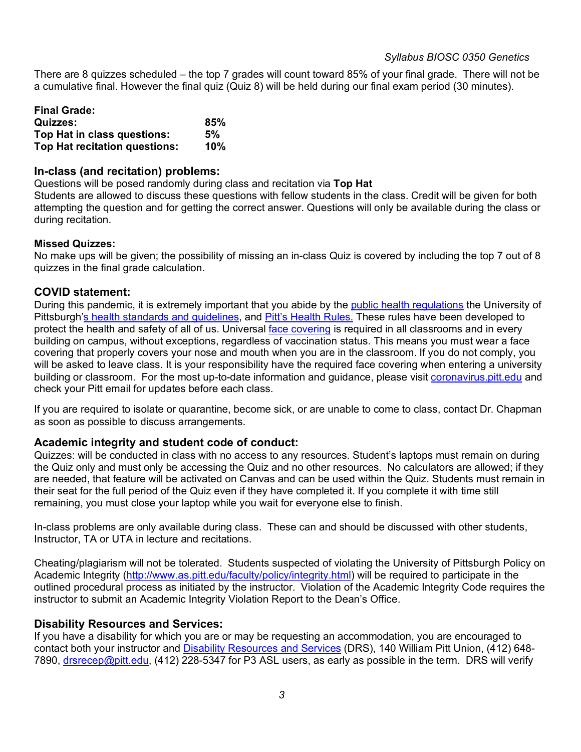There are 8 quizzes scheduled – the top 7 grades will count toward 85% of your final grade. There will not be a cumulative final. However the final quiz (Quiz 8) will be held during our final exam period (30 minutes).

| <b>Final Grade:</b>           |     |
|-------------------------------|-----|
| <b>Quizzes:</b>               | 85% |
| Top Hat in class questions:   | 5%  |
| Top Hat recitation questions: | 10% |

#### **In-class (and recitation) problems:**

Questions will be posed randomly during class and recitation via **Top Hat**

Students are allowed to discuss these questions with fellow students in the class. Credit will be given for both attempting the question and for getting the correct answer. Questions will only be available during the class or during recitation.

#### **Missed Quizzes:**

No make ups will be given; the possibility of missing an in-class Quiz is covered by including the top 7 out of 8 quizzes in the final grade calculation.

#### **COVID statement:**

During this pandemic, it is extremely important that you abide by the [public health regulations](https://www.alleghenycounty.us/Health-Department/Resources/COVID-19/COVID-19.aspx) the University of Pittsburgh['s health standards and guidelines,](https://www.policy.pitt.edu/university-policies-and-procedures/covid-19-standards-and-guidelines) and [Pitt's Health Rules.](https://www.coronavirus.pitt.edu/healthy-community/pitts-health-rules) These rules have been developed to protect the health and safety of all of us. Universal [face covering](https://www.coronavirus.pitt.edu/frequently-asked-questions-about-face-coverings) is required in all classrooms and in every building on campus, without exceptions, regardless of vaccination status. This means you must wear a face covering that properly covers your nose and mouth when you are in the classroom. If you do not comply, you will be asked to leave class. It is your responsibility have the required face covering when entering a university building or classroom. For the most up-to-date information and quidance, please visit [coronavirus.pitt.edu](http://coronavirus.pitt.edu/) and check your Pitt email for updates before each class.

If you are required to isolate or quarantine, become sick, or are unable to come to class, contact Dr. Chapman as soon as possible to discuss arrangements.

## **Academic integrity and student code of conduct:**

Quizzes: will be conducted in class with no access to any resources. Student's laptops must remain on during the Quiz only and must only be accessing the Quiz and no other resources. No calculators are allowed; if they are needed, that feature will be activated on Canvas and can be used within the Quiz. Students must remain in their seat for the full period of the Quiz even if they have completed it. If you complete it with time still remaining, you must close your laptop while you wait for everyone else to finish.

In-class problems are only available during class. These can and should be discussed with other students, Instructor, TA or UTA in lecture and recitations.

Cheating/plagiarism will not be tolerated. Students suspected of violating the University of Pittsburgh Policy on Academic Integrity [\(http://www.as.pitt.edu/faculty/policy/integrity.html\)](http://www.as.pitt.edu/faculty/policy/integrity.html) will be required to participate in the outlined procedural process as initiated by the instructor. Violation of the Academic Integrity Code requires the instructor to submit an Academic Integrity Violation Report to the Dean's Office.

## **Disability Resources and Services:**

If you have a disability for which you are or may be requesting an accommodation, you are encouraged to contact both your instructor and [Disability Resources and Services](http://www.drs.pitt.edu/) (DRS), 140 William Pitt Union, (412) 648 7890, [drsrecep@pitt.edu,](mailto:drsrecep@pitt.edu) (412) 228-5347 for P3 ASL users, as early as possible in the term. DRS will verify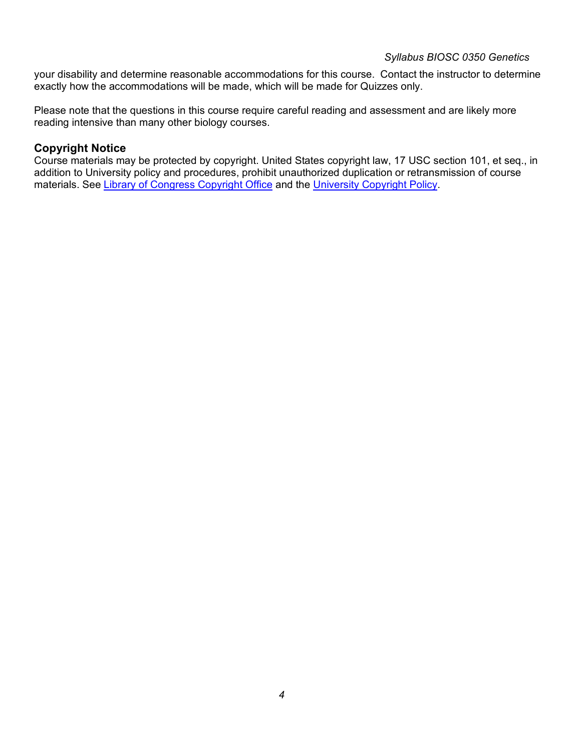#### *Syllabus BIOSC 0350 Genetics*

your disability and determine reasonable accommodations for this course. Contact the instructor to determine exactly how the accommodations will be made, which will be made for Quizzes only.

Please note that the questions in this course require careful reading and assessment and are likely more reading intensive than many other biology courses.

## **Copyright Notice**

Course materials may be protected by copyright. United States copyright law, 17 USC section 101, et seq., in addition to University policy and procedures, prohibit unauthorized duplication or retransmission of course materials. See [Library of Congress Copyright Office](http://www.copyright.gov/) and the [University Copyright Policy.](https://www.policy.pitt.edu/sites/default/files/Policies/Community-Standards/Policy_CS_03.pdf)